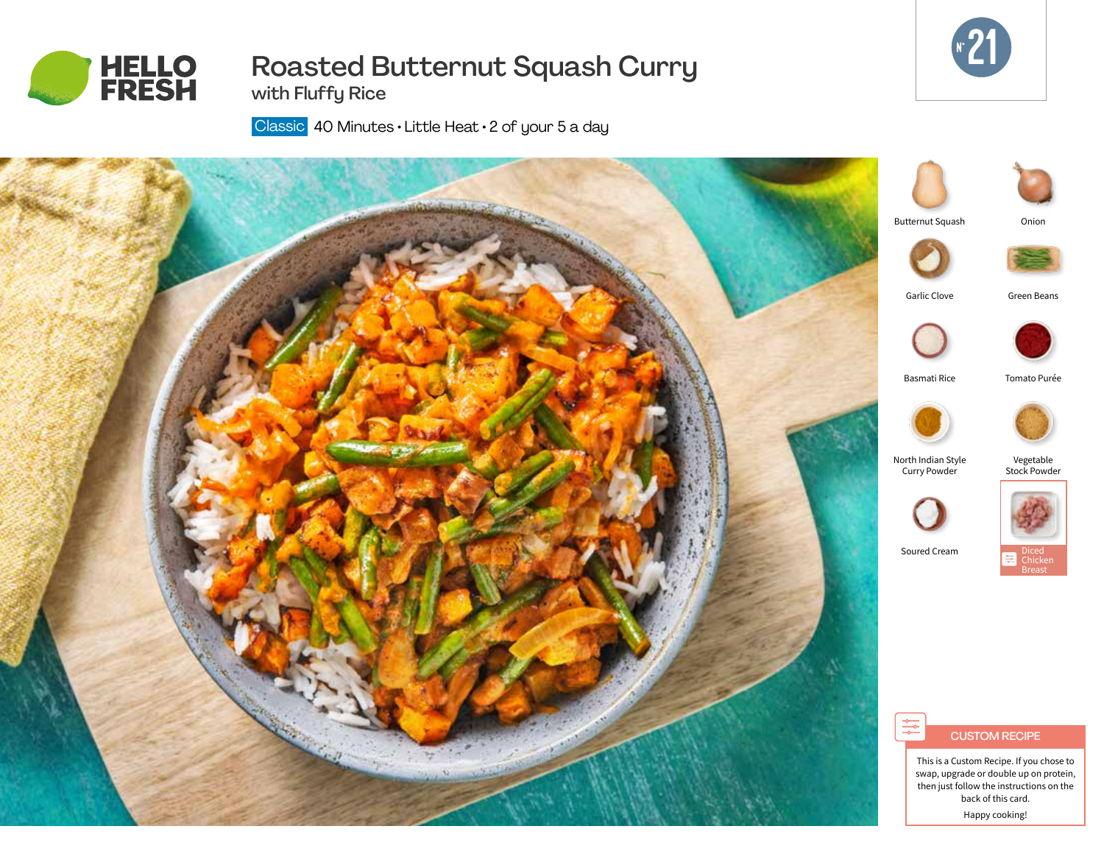

# Roasted Butternut Squash Curry



with Fluffy Rice

Classic 40 Minutes · Little Heat · 2 of your 5 a day